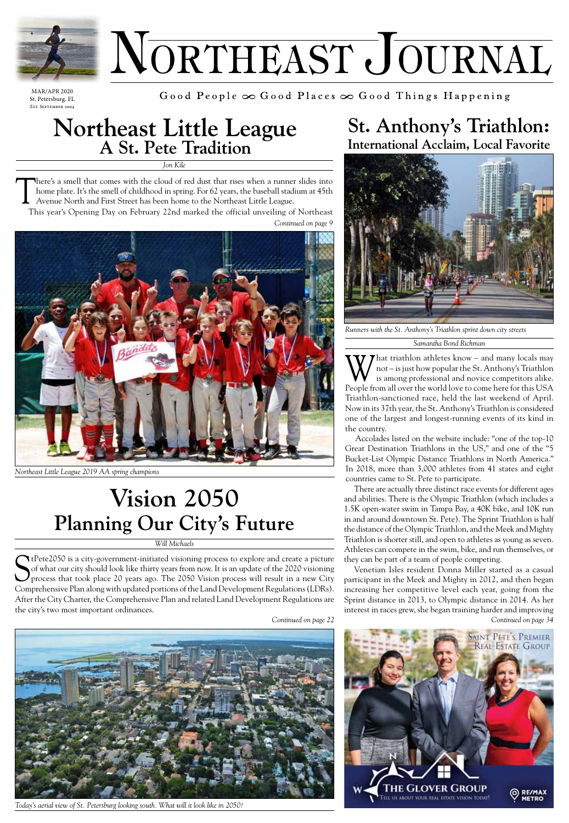

# NORTHEAST JOURNAL

MAR/APR 2020 St. Petersburg, FL Est. September 2004

Good People  $\infty$  Good Places  $\infty$  Good Things Happening

# **Northeast Little League A St. Pete Tradition**

*Jon Kile*

There's a smell that comes with the cloud of red dust that rises when a runner slides into<br>home plate. It's the smell of childhood in spring. For 62 years, the baseball stadium at 45th<br>Avenue North and First Street has bee home plate. It's the smell of childhood in spring. For 62 years, the baseball stadium at 45th Avenue North and First Street has been home to the Northeast Little League.

 This year's Opening Day on February 22nd marked the official unveiling of Northeast *Continued on page 9*



*Northeast Little League 2019 AA spring champions*

## **Vision 2050 Planning Our City's Future**

#### *Will Michaels*

StPete2050 is a city-government-initiated visioning process to explore and create a picture<br>of what our city should look like thirty years from now. It is an update of the 2020 visioning<br>process that took place 20 years ag of what our city should look like thirty years from now. It is an update of the 2020 visioning process that took place 20 years ago. The 2050 Vision process will result in a new City Comprehensive Plan along with updated portions of the Land Development Regulations (LDRs). After the City Charter, the Comprehensive Plan and related Land Development Regulations are the city's two most important ordinances.

*Continued on page 22*



*Today's aerial view of St. Petersburg looking south. What will it look like in 2050?*

### **St. Anthony's Triathlon: International Acclaim, Local Favorite**



*Runners with the St. Anthony's Triathlon sprint down city streets*

*Samantha Bond Richman*

What triathlon athletes know – and many locals may<br>not – is just how popular the St. Anthony's Triathlon<br>is among professional and novice competitors alike. not – is just how popular the St. Anthony's Triathlon is among professional and novice competitors alike. People from all over the world love to come here for this USA Triathlon-sanctioned race, held the last weekend of April. Now in its 37th year, the St. Anthony's Triathlon is considered one of the largest and longest-running events of its kind in the country.

Accolades listed on the website include: "one of the top-10 Great Destination Triathlons in the US," and one of the "5 Bucket-List Olympic Distance Triathlons in North America." In 2018, more than 3,000 athletes from 41 states and eight countries came to St. Pete to participate.

There are actually three distinct race events for different ages and abilities. There is the Olympic Triathlon (which includes a 1.5K open-water swim in Tampa Bay, a 40K bike, and 10K run in and around downtown St. Pete). The Sprint Triathlon is half the distance of the Olympic Triathlon, and the Meek and Mighty Triathlon is shorter still, and open to athletes as young as seven. Athletes can compete in the swim, bike, and run themselves, or they can be part of a team of people competing.

Venetian Isles resident Donna Miller started as a casual participant in the Meek and Mighty in 2012, and then began increasing her competitive level each year, going from the Sprint distance in 2013, to Olympic distance in 2014. As her interest in races grew, she began training harder and improving *Continued on page 34*

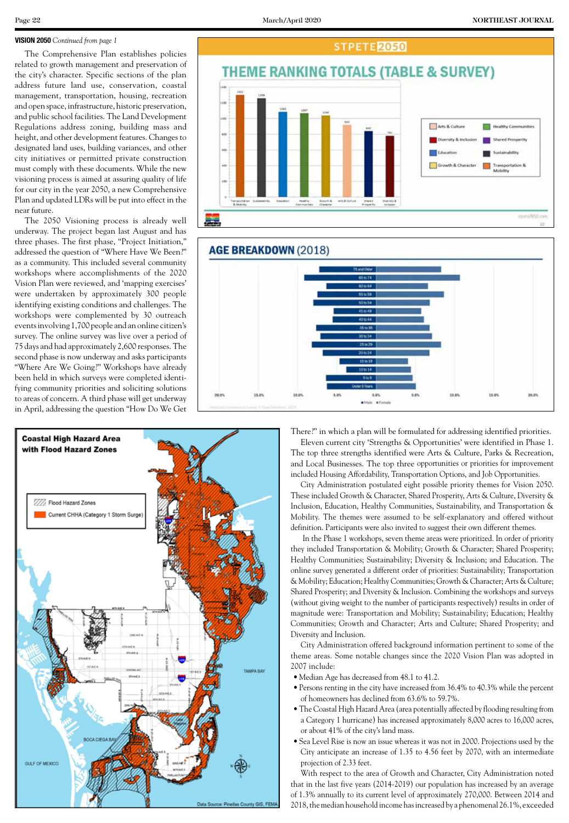#### **VISION 2050** *Continued from page 1*

The Comprehensive Plan establishes policies related to growth management and preservation of the city's character. Specific sections of the plan address future land use, conservation, coastal management, transportation, housing, recreation and open space, infrastructure, historic preservation, and public school facilities. The Land Development Regulations address zoning, building mass and height, and other development features. Changes to designated land uses, building variances, and other city initiatives or permitted private construction must comply with these documents. While the new visioning process is aimed at assuring quality of life for our city in the year 2050, a new Comprehensive Plan and updated LDRs will be put into effect in the near future.

The 2050 Visioning process is already well underway. The project began last August and has three phases. The first phase, "Project Initiation," addressed the question of "Where Have We Been?" as a community. This included several community workshops where accomplishments of the 2020 Vision Plan were reviewed, and 'mapping exercises' were undertaken by approximately 300 people identifying existing conditions and challenges. The workshops were complemented by 30 outreach events involving 1,700 people and an online citizen's survey. The online survey was live over a period of 75 days and had approximately 2,600 responses. The second phase is now underway and asks participants "Where Are We Going?" Workshops have already been held in which surveys were completed identifying community priorities and soliciting solutions to areas of concern. A third phase will get underway in April, addressing the question "How Do We Get







There?" in which a plan will be formulated for addressing identified priorities. Eleven current city 'Strengths & Opportunities' were identified in Phase 1. The top three strengths identified were Arts & Culture, Parks & Recreation, and Local Businesses. The top three opportunities or priorities for improvement included Housing Affordability, Transportation Options, and Job Opportunities.

City Administration postulated eight possible priority themes for Vision 2050. These included Growth & Character, Shared Prosperity, Arts & Culture, Diversity & Inclusion, Education, Healthy Communities, Sustainability, and Transportation & Mobility. The themes were assumed to be self-explanatory and offered without definition. Participants were also invited to suggest their own different themes.

 In the Phase 1 workshops, seven theme areas were prioritized. In order of priority they included Transportation & Mobility; Growth & Character; Shared Prosperity; Healthy Communities; Sustainability; Diversity & Inclusion; and Education. The online survey generated a different order of priorities: Sustainability; Transportation & Mobility; Education; Healthy Communities; Growth & Character; Arts & Culture; Shared Prosperity; and Diversity & Inclusion. Combining the workshops and surveys (without giving weight to the number of participants respectively) results in order of magnitude were: Transportation and Mobility; Sustainability; Education; Healthy Communities; Growth and Character; Arts and Culture; Shared Prosperity; and Diversity and Inclusion.

City Administration offered background information pertinent to some of the theme areas. Some notable changes since the 2020 Vision Plan was adopted in 2007 include:

- Median Age has decreased from 48.1 to 41.2.
- •Persons renting in the city have increased from 36.4% to 40.3% while the percent of homeowners has declined from 63.6% to 59.7%.
- •The Coastal High Hazard Area (area potentially affected by flooding resulting from a Category 1 hurricane) has increased approximately 8,000 acres to 16,000 acres, or about 41% of the city's land mass.
- •Sea Level Rise is now an issue whereas it was not in 2000. Projections used by the City anticipate an increase of 1.35 to 4.56 feet by 2070, with an intermediate projection of 2.33 feet.

With respect to the area of Growth and Character, City Administration noted that in the last five years (2014-2019) our population has increased by an average of 1.3% annually to its current level of approximately 270,000. Between 2014 and 2018, the median household income has increased by a phenomenal 26.1%, exceeded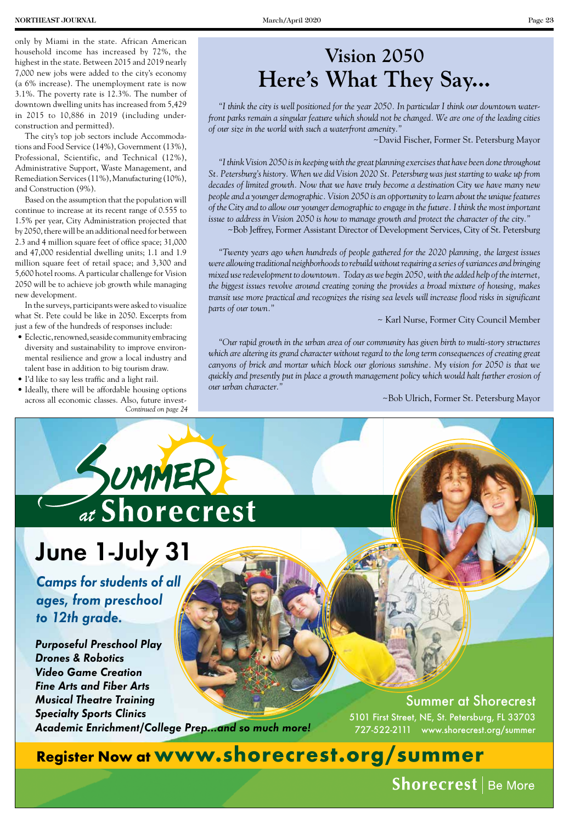only by Miami in the state. African American household income has increased by 72%, the highest in the state. Between 2015 and 2019 nearly 7,000 new jobs were added to the city's economy (a 6% increase). The unemployment rate is now 3.1%. The poverty rate is 12.3%. The number of downtown dwelling units has increased from 5,429 in 2015 to 10,886 in 2019 (including underconstruction and permitted).

The city's top job sectors include Accommodations and Food Service (14%), Government (13%), Professional, Scientific, and Technical (12%), Administrative Support, Waste Management, and Remediation Services (11%), Manufacturing (10%), and Construction (9%).

Based on the assumption that the population will continue to increase at its recent range of 0.555 to 1.5% per year, City Administration projected that by 2050, there will be an additional need for between 2.3 and 4 million square feet of office space; 31,000 and 47,000 residential dwelling units; 1.1 and 1.9 million square feet of retail space; and 3,300 and 5,600 hotel rooms. A particular challenge for Vision 2050 will be to achieve job growth while managing new development.

In the surveys, participants were asked to visualize what St. Pete could be like in 2050. Excerpts from just a few of the hundreds of responses include:

- Eclectic, renowned, seaside community embracing diversity and sustainability to improve environmental resilience and grow a local industry and talent base in addition to big tourism draw.
- I'd like to say less traffic and a light rail.
- Ideally, there will be affordable housing options across all economic classes. Also, future invest-*Continued on page 24*

*"I think the city is well positioned for the year 2050. In particular I think our downtown waterfront parks remain a singular feature which should not be changed. We are one of the leading cities of our size in the world with such a waterfront amenity."* 

~David Fischer, Former St. Petersburg Mayor

*"I think Vision 2050 is in keeping with the great planning exercises that have been done throughout St. Petersburg's history. When we did Vision 2020 St. Petersburg was just starting to wake up from decades of limited growth. Now that we have truly become a destination City we have many new people and a younger demographic. Vision 2050 is an opportunity to learn about the unique features of the City and to allow our younger demographic to engage in the future. I think the most important issue to address in Vision 2050 is how to manage growth and protect the character of the city."*

~Bob Jeffrey, Former Assistant Director of Development Services, City of St. Petersburg

*"Twenty years ago when hundreds of people gathered for the 2020 planning, the largest issues were allowing traditional neighborhoods to rebuild without requiring a series of variances and bringing mixed use redevelopment to downtown. Today as we begin 2050, with the added help of the internet, the biggest issues revolve around creating zoning the provides a broad mixture of housing, makes transit use more practical and recognizes the rising sea levels will increase flood risks in significant parts of our town."*

~ Karl Nurse, Former City Council Member

*"Our rapid growth in the urban area of our community has given birth to multi-story structures*  which are altering its grand character without regard to the long term consequences of creating great *canyons of brick and mortar which block our glorious sunshine. My vision for 2050 is that we quickly and presently put in place a growth management policy which would halt further erosion of our urban character."* 

~Bob Ulrich, Former St. Petersburg Mayor

# SUMMER

## June 1-July 31

*Camps for students of all ages, from preschool to 12th grade.*

*Purposeful Preschool Play Drones & Robotics Video Game Creation Fine Arts and Fiber Arts Musical Theatre Training Specialty Sports Clinics Academic Enrichment/College Prep...and so much more!*

Summer at Shorecrest 5101 First Street, NE, St. Petersburg, FL 33703 727-522-2111 www.shorecrest.org/summer

**Register Now at www.shorecrest.org/summer**

Shorecrest | Be More